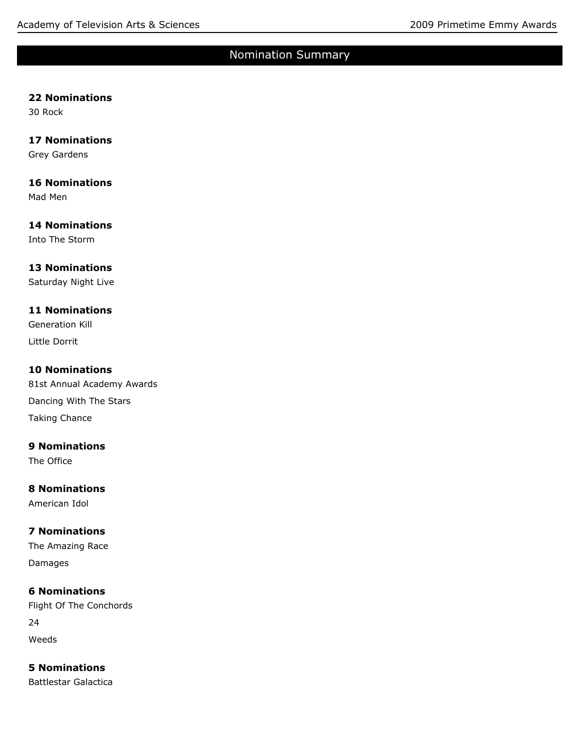#### **22 Nominations**

30 Rock

## **17 Nominations**

Grey Gardens

## **16 Nominations**

Mad Men

## **14 Nominations** Into The Storm

### **13 Nominations**

Saturday Night Live

### **11 Nominations**

Generation Kill Little Dorrit

### **10 Nominations**

81st Annual Academy Awards Dancing With The Stars Taking Chance

#### **9 Nominations**

The Office

### **8 Nominations**

American Idol

## **7 Nominations**

The Amazing Race Damages

### **6 Nominations**

Flight Of The Conchords 24 Weeds

## **5 Nominations**

Battlestar Galactica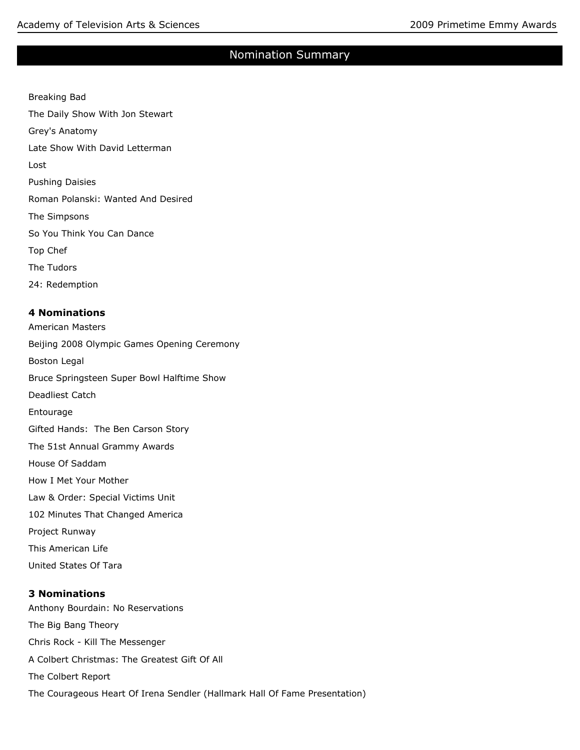Breaking Bad

The Daily Show With Jon Stewart

Grey's Anatomy

Late Show With David Letterman

Lost

Pushing Daisies

Roman Polanski: Wanted And Desired

The Simpsons

So You Think You Can Dance

Top Chef

The Tudors

24: Redemption

#### **4 Nominations**

American Masters Beijing 2008 Olympic Games Opening Ceremony Boston Legal Bruce Springsteen Super Bowl Halftime Show Deadliest Catch Entourage Gifted Hands: The Ben Carson Story The 51st Annual Grammy Awards House Of Saddam How I Met Your Mother Law & Order: Special Victims Unit 102 Minutes That Changed America Project Runway This American Life United States Of Tara

#### **3 Nominations**

Anthony Bourdain: No Reservations The Big Bang Theory Chris Rock - Kill The Messenger A Colbert Christmas: The Greatest Gift Of All The Colbert Report The Courageous Heart Of Irena Sendler (Hallmark Hall Of Fame Presentation)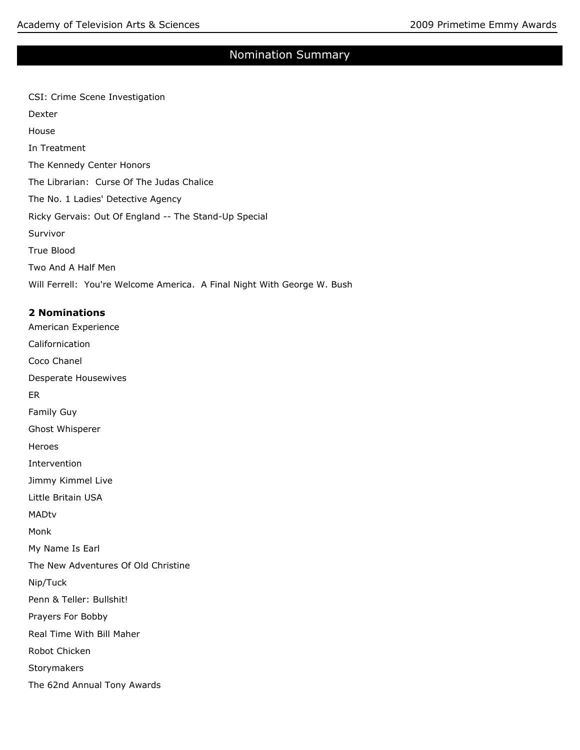CSI: Crime Scene Investigation Dexter House In Treatment The Kennedy Center Honors The Librarian: Curse Of The Judas Chalice The No. 1 Ladies' Detective Agency Ricky Gervais: Out Of England -- The Stand-Up Special Survivor True Blood Two And A Half Men Will Ferrell: You're Welcome America. A Final Night With George W. Bush

### **2 Nominations**

American Experience Californication Coco Chanel Desperate Housewives ER Family Guy Ghost Whisperer **Heroes** Intervention Jimmy Kimmel Live Little Britain USA MADtv Monk My Name Is Earl The New Adventures Of Old Christine Nip/Tuck Penn & Teller: Bullshit! Prayers For Bobby Real Time With Bill Maher Robot Chicken Storymakers The 62nd Annual Tony Awards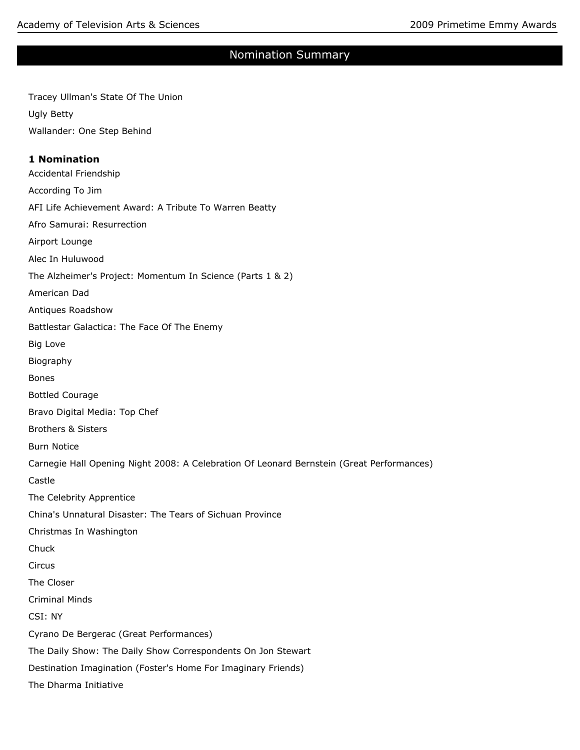Tracey Ullman's State Of The Union Ugly Betty Wallander: One Step Behind

#### **1 Nomination**

Accidental Friendship According To Jim AFI Life Achievement Award: A Tribute To Warren Beatty Afro Samurai: Resurrection Airport Lounge Alec In Huluwood The Alzheimer's Project: Momentum In Science (Parts 1 & 2) American Dad Antiques Roadshow Battlestar Galactica: The Face Of The Enemy Big Love Biography Bones Bottled Courage Bravo Digital Media: Top Chef Brothers & Sisters Burn Notice Carnegie Hall Opening Night 2008: A Celebration Of Leonard Bernstein (Great Performances) Castle The Celebrity Apprentice China's Unnatural Disaster: The Tears of Sichuan Province Christmas In Washington Chuck **Circus** The Closer Criminal Minds CSI: NY Cyrano De Bergerac (Great Performances) The Daily Show: The Daily Show Correspondents On Jon Stewart Destination Imagination (Foster's Home For Imaginary Friends) The Dharma Initiative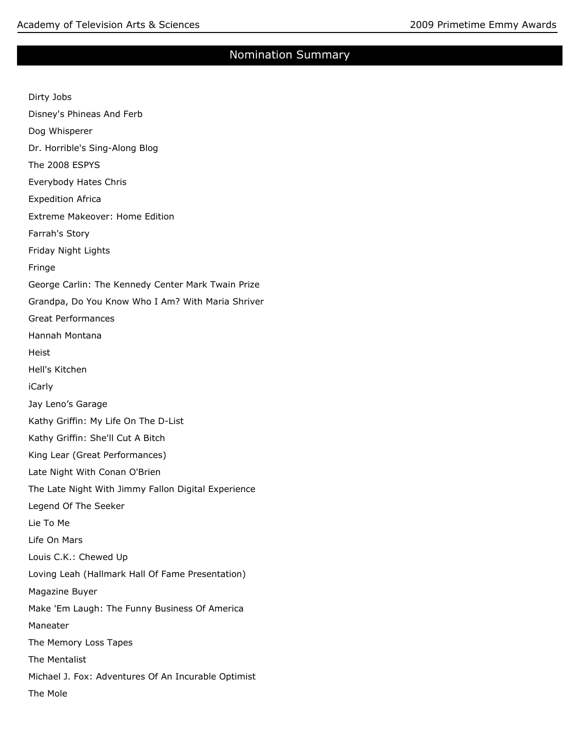Dirty Jobs

# Nomination Summary

Disney's Phineas And Ferb Dog Whisperer Dr. Horrible's Sing-Along Blog The 2008 ESPYS Everybody Hates Chris Expedition Africa Extreme Makeover: Home Edition Farrah's Story Friday Night Lights Fringe George Carlin: The Kennedy Center Mark Twain Prize Grandpa, Do You Know Who I Am? With Maria Shriver Great Performances Hannah Montana Heist Hell's Kitchen iCarly Jay Leno's Garage Kathy Griffin: My Life On The D-List Kathy Griffin: She'll Cut A Bitch King Lear (Great Performances) Late Night With Conan O'Brien The Late Night With Jimmy Fallon Digital Experience Legend Of The Seeker Lie To Me Life On Mars Louis C.K.: Chewed Up Loving Leah (Hallmark Hall Of Fame Presentation) Magazine Buyer Make 'Em Laugh: The Funny Business Of America Maneater The Memory Loss Tapes The Mentalist Michael J. Fox: Adventures Of An Incurable Optimist The Mole